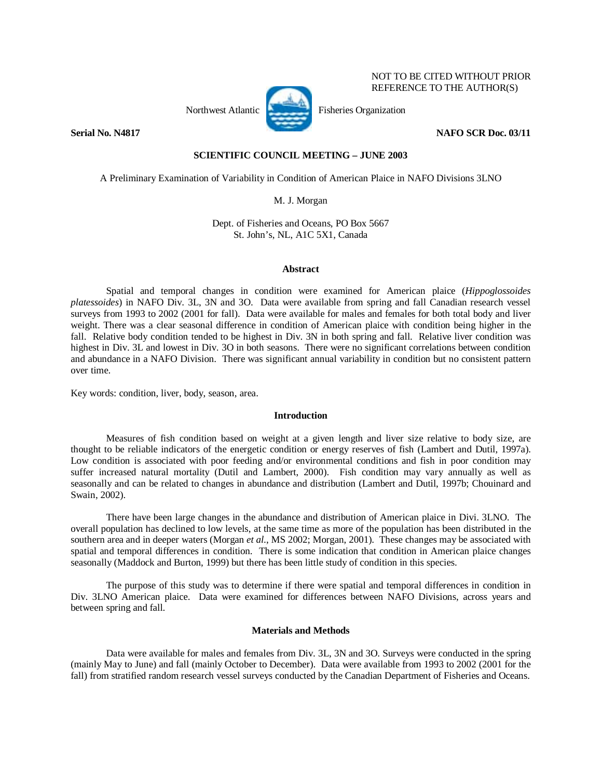

 NOT TO BE CITED WITHOUT PRIOR REFERENCE TO THE AUTHOR(S)

# **Serial No. N4817** NAFO SCR Doc. 03/11

## **SCIENTIFIC COUNCIL MEETING – JUNE 2003**

A Preliminary Examination of Variability in Condition of American Plaice in NAFO Divisions 3LNO

M. J. Morgan

Dept. of Fisheries and Oceans, PO Box 5667 St. John's, NL, A1C 5X1, Canada

#### **Abstract**

 Spatial and temporal changes in condition were examined for American plaice (*Hippoglossoides platessoides*) in NAFO Div. 3L, 3N and 3O. Data were available from spring and fall Canadian research vessel surveys from 1993 to 2002 (2001 for fall). Data were available for males and females for both total body and liver weight. There was a clear seasonal difference in condition of American plaice with condition being higher in the fall. Relative body condition tended to be highest in Div. 3N in both spring and fall. Relative liver condition was highest in Div. 3L and lowest in Div. 3O in both seasons. There were no significant correlations between condition and abundance in a NAFO Division. There was significant annual variability in condition but no consistent pattern over time.

Key words: condition, liver, body, season, area.

# **Introduction**

 Measures of fish condition based on weight at a given length and liver size relative to body size, are thought to be reliable indicators of the energetic condition or energy reserves of fish (Lambert and Dutil, 1997a). Low condition is associated with poor feeding and/or environmental conditions and fish in poor condition may suffer increased natural mortality (Dutil and Lambert, 2000). Fish condition may vary annually as well as seasonally and can be related to changes in abundance and distribution (Lambert and Dutil, 1997b; Chouinard and Swain, 2002).

 There have been large changes in the abundance and distribution of American plaice in Divi. 3LNO. The overall population has declined to low levels, at the same time as more of the population has been distributed in the southern area and in deeper waters (Morgan *et al*., MS 2002; Morgan, 2001). These changes may be associated with spatial and temporal differences in condition. There is some indication that condition in American plaice changes seasonally (Maddock and Burton, 1999) but there has been little study of condition in this species.

 The purpose of this study was to determine if there were spatial and temporal differences in condition in Div. 3LNO American plaice. Data were examined for differences between NAFO Divisions, across years and between spring and fall.

### **Materials and Methods**

 Data were available for males and females from Div. 3L, 3N and 3O. Surveys were conducted in the spring (mainly May to June) and fall (mainly October to December). Data were available from 1993 to 2002 (2001 for the fall) from stratified random research vessel surveys conducted by the Canadian Department of Fisheries and Oceans.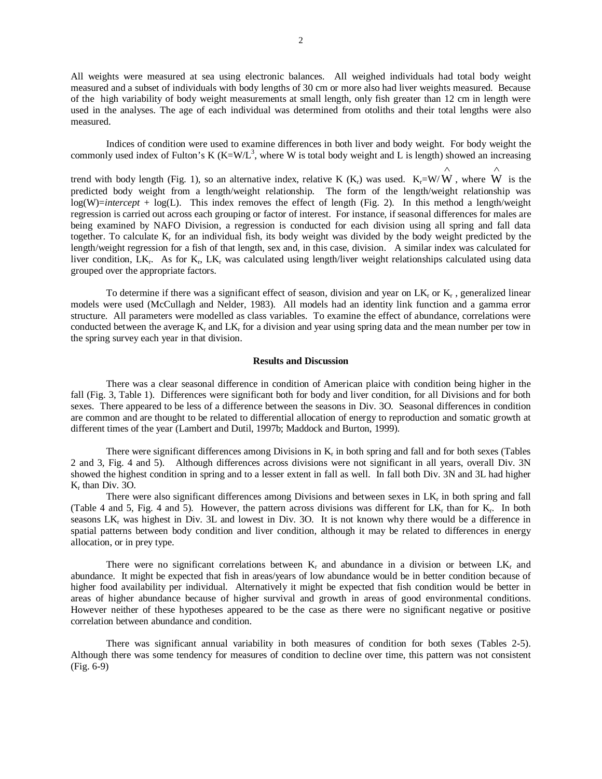All weights were measured at sea using electronic balances. All weighed individuals had total body weight measured and a subset of individuals with body lengths of 30 cm or more also had liver weights measured. Because of the high variability of body weight measurements at small length, only fish greater than 12 cm in length were used in the analyses. The age of each individual was determined from otoliths and their total lengths were also measured.

 Indices of condition were used to examine differences in both liver and body weight. For body weight the commonly used index of Fulton's K  $(K= W/L^3$ , where W is total body weight and L is length) showed an increasing

trend with body length (Fig. 1), so an alternative index, relative K  $(K_r)$  was used.  $K_r = W/W$ , where W is the ∧ ∧ predicted body weight from a length/weight relationship. The form of the length/weight relationship was log(W)=*intercept* + log(L). This index removes the effect of length (Fig. 2). In this method a length/weight regression is carried out across each grouping or factor of interest. For instance, if seasonal differences for males are being examined by NAFO Division, a regression is conducted for each division using all spring and fall data together. To calculate  $K_r$  for an individual fish, its body weight was divided by the body weight predicted by the length/weight regression for a fish of that length, sex and, in this case, division. A similar index was calculated for liver condition,  $LK_r$ . As for  $K_r$ ,  $LK_r$  was calculated using length/liver weight relationships calculated using data grouped over the appropriate factors.

To determine if there was a significant effect of season, division and year on  $LK_r$  or  $K_r$ , generalized linear models were used (McCullagh and Nelder, 1983). All models had an identity link function and a gamma error structure. All parameters were modelled as class variables. To examine the effect of abundance, correlations were conducted between the average  $K_r$  and  $LK_r$  for a division and year using spring data and the mean number per tow in the spring survey each year in that division.

#### **Results and Discussion**

 There was a clear seasonal difference in condition of American plaice with condition being higher in the fall (Fig. 3, Table 1). Differences were significant both for body and liver condition, for all Divisions and for both sexes. There appeared to be less of a difference between the seasons in Div. 3O. Seasonal differences in condition are common and are thought to be related to differential allocation of energy to reproduction and somatic growth at different times of the year (Lambert and Dutil, 1997b; Maddock and Burton, 1999).

There were significant differences among Divisions in  $K_r$  in both spring and fall and for both sexes (Tables 2 and 3, Fig. 4 and 5). Although differences across divisions were not significant in all years, overall Div. 3N showed the highest condition in spring and to a lesser extent in fall as well. In fall both Div. 3N and 3L had higher Kr than Div. 3O.

There were also significant differences among Divisions and between sexes in  $LK_r$  in both spring and fall (Table 4 and 5, Fig. 4 and 5). However, the pattern across divisions was different for  $LK_r$  than for  $K_r$ . In both seasons  $LK_r$  was highest in Div. 3L and lowest in Div. 3O. It is not known why there would be a difference in spatial patterns between body condition and liver condition, although it may be related to differences in energy allocation, or in prey type.

There were no significant correlations between  $K_r$  and abundance in a division or between  $LK_r$  and abundance. It might be expected that fish in areas/years of low abundance would be in better condition because of higher food availability per individual. Alternatively it might be expected that fish condition would be better in areas of higher abundance because of higher survival and growth in areas of good environmental conditions. However neither of these hypotheses appeared to be the case as there were no significant negative or positive correlation between abundance and condition.

 There was significant annual variability in both measures of condition for both sexes (Tables 2-5). Although there was some tendency for measures of condition to decline over time, this pattern was not consistent (Fig. 6-9)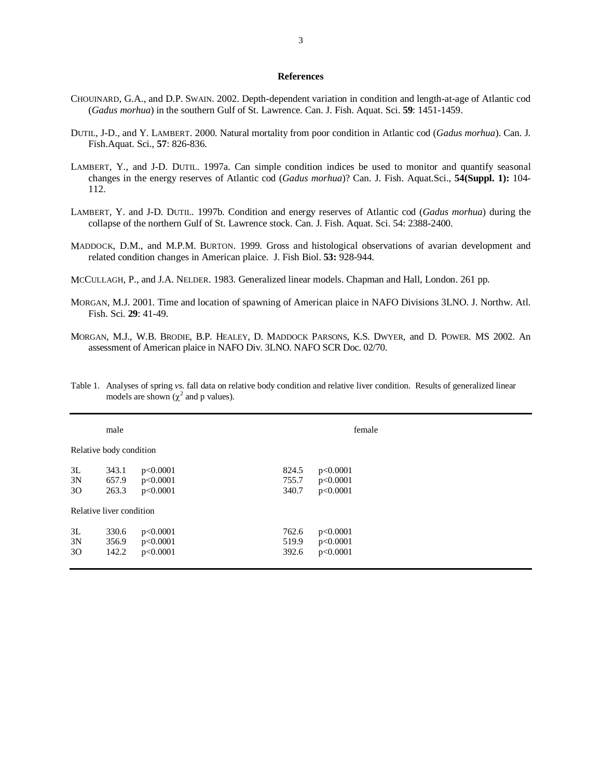## **References**

- CHOUINARD, G.A., and D.P. SWAIN. 2002. Depth-dependent variation in condition and length-at-age of Atlantic cod (*Gadus morhua*) in the southern Gulf of St. Lawrence. Can. J. Fish. Aquat. Sci. **59**: 1451-1459.
- DUTIL, J-D., and Y. LAMBERT. 2000. Natural mortality from poor condition in Atlantic cod (*Gadus morhua*). Can. J. Fish.Aquat. Sci., **57**: 826-836.
- LAMBERT, Y., and J-D. DUTIL. 1997a. Can simple condition indices be used to monitor and quantify seasonal changes in the energy reserves of Atlantic cod (*Gadus morhua*)? Can. J. Fish. Aquat.Sci., **54(Suppl. 1):** 104- 112.
- LAMBERT, Y. and J-D. DUTIL. 1997b. Condition and energy reserves of Atlantic cod (*Gadus morhua*) during the collapse of the northern Gulf of St. Lawrence stock. Can. J. Fish. Aquat. Sci. 54: 2388-2400.
- MADDOCK, D.M., and M.P.M. BURTON. 1999. Gross and histological observations of avarian development and related condition changes in American plaice. J. Fish Biol. **53:** 928-944.
- MCCULLAGH, P., and J.A. NELDER. 1983. Generalized linear models. Chapman and Hall, London. 261 pp.
- MORGAN, M.J. 2001. Time and location of spawning of American plaice in NAFO Divisions 3LNO. J. Northw. Atl. Fish. Sci. **29**: 41-49.
- MORGAN, M.J., W.B. BRODIE, B.P. HEALEY, D. MADDOCK PARSONS, K.S. DWYER, and D. POWER. MS 2002. An assessment of American plaice in NAFO Div. 3LNO. NAFO SCR Doc. 02/70.

|    | male                     |          | female |          |  |
|----|--------------------------|----------|--------|----------|--|
|    | Relative body condition  |          |        |          |  |
| 3L | 343.1                    | p<0.0001 | 824.5  | p<0.0001 |  |
| 3N | 657.9                    | p<0.0001 | 755.7  | p<0.0001 |  |
| 30 | 263.3                    | p<0.0001 | 340.7  | p<0.0001 |  |
|    | Relative liver condition |          |        |          |  |
| 3L | 330.6                    | p<0.0001 | 762.6  | p<0.0001 |  |
| 3N | 356.9                    | p<0.0001 | 519.9  | p<0.0001 |  |
| 30 | 142.2                    | p<0.0001 | 392.6  | p<0.0001 |  |
|    |                          |          |        |          |  |

Table 1. Analyses of spring *vs*. fall data on relative body condition and relative liver condition. Results of generalized linear models are shown ( $\chi^2$  and p values).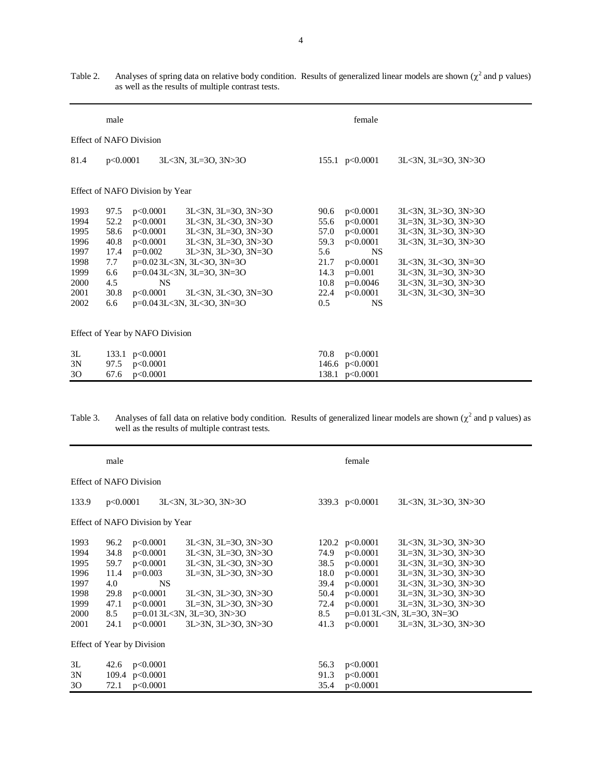|                                | male     |                                 |                                          |      | female           |                     |  |
|--------------------------------|----------|---------------------------------|------------------------------------------|------|------------------|---------------------|--|
| <b>Effect of NAFO Division</b> |          |                                 |                                          |      |                  |                     |  |
| 81.4                           | p<0.0001 |                                 | 3L<3N, 3L=3O, 3N>3O                      |      | 155.1 $p<0.0001$ | 3L<3N, 3L=3O, 3N>3O |  |
|                                |          | Effect of NAFO Division by Year |                                          |      |                  |                     |  |
| 1993                           | 97.5     | p<0.0001                        | 3L<3N, 3L=3O, 3N>3O                      | 90.6 | p<0.0001         | 3L<3N, 3L>3O, 3N>3O |  |
| 1994                           | 52.2     | p<0.0001                        | 3L<3N, 3L<30, 3N>30                      | 55.6 | p<0.0001         | 3L=3N, 3L>3O, 3N>3O |  |
| 1995                           | 58.6     | p<0.0001                        | 3L<3N, 3L=3O, 3N>3O                      | 57.0 | p<0.0001         | 3L<3N, 3L>3O, 3N>3O |  |
| 1996                           | 40.8     | p<0.0001                        | 3L<3N, 3L=3O, 3N>3O                      | 59.3 | p<0.0001         | 3L<3N, 3L=3O, 3N>3O |  |
| 1997                           | 17.4     | $p=0.002$                       | 3L>3N, 3L>3O, 3N=3O                      | 5.6  | <b>NS</b>        |                     |  |
| 1998                           | 7.7      |                                 | p=0.023L<3N, 3L<3O, 3N=3O                | 21.7 | p<0.0001         | 3L<3N, 3L<30, 3N=30 |  |
| 1999                           | 6.6      |                                 | $p=0.04$ 3L $<$ 3N, 3L $=$ 3O, 3N $=$ 3O | 14.3 | $p=0.001$        | 3L<3N, 3L=3O, 3N>3O |  |
| 2000                           | 4.5      | <b>NS</b>                       |                                          | 10.8 | $p=0.0046$       | 3L<3N, 3L=3O, 3N>3O |  |
| 2001                           | 30.8     | p<0.0001                        | 3L<3N, 3L<3O, 3N=3O                      | 22.4 | p<0.0001         | 3L<3N, 3L<30, 3N=30 |  |
| 2002                           | 6.6      |                                 | p=0.043L<3N, 3L<3O, 3N=3O                | 0.5  | <b>NS</b>        |                     |  |
|                                |          | Effect of Year by NAFO Division |                                          |      |                  |                     |  |
| 3L                             |          | 133.1 $p<0.0001$                |                                          | 70.8 | p<0.0001         |                     |  |
| 3N                             | 97.5     | p<0.0001                        |                                          |      | 146.6 p<0.0001   |                     |  |
| 30                             | 67.6     | p<0.0001                        |                                          |      | 138.1 p<0.0001   |                     |  |

Table 2. Analyses of spring data on relative body condition. Results of generalized linear models are shown  $(\chi^2$  and p values) as well as the results of multiple contrast tests.

| Table 3. |                                                 | Analyses of fall data on relative body condition. Results of generalized linear models are shown $\chi^2$ and p values) as |  |
|----------|-------------------------------------------------|----------------------------------------------------------------------------------------------------------------------------|--|
|          | well as the results of multiple contrast tests. |                                                                                                                            |  |

|                                                              | male                                                       |                                                                                    |                                                                                                                                                                                                      | female                                              |                                                                                          |                                                                                                                                                                                                           |  |  |
|--------------------------------------------------------------|------------------------------------------------------------|------------------------------------------------------------------------------------|------------------------------------------------------------------------------------------------------------------------------------------------------------------------------------------------------|-----------------------------------------------------|------------------------------------------------------------------------------------------|-----------------------------------------------------------------------------------------------------------------------------------------------------------------------------------------------------------|--|--|
| Effect of NAFO Division                                      |                                                            |                                                                                    |                                                                                                                                                                                                      |                                                     |                                                                                          |                                                                                                                                                                                                           |  |  |
| 133.9                                                        | p<0.0001                                                   |                                                                                    | 3L<3N, 3L>3O, 3N>3O                                                                                                                                                                                  | 339.3 $p<0.0001$                                    | 3L<3N, 3L>3O, 3N>3O                                                                      |                                                                                                                                                                                                           |  |  |
|                                                              |                                                            | Effect of NAFO Division by Year                                                    |                                                                                                                                                                                                      |                                                     |                                                                                          |                                                                                                                                                                                                           |  |  |
| 1993<br>1994<br>1995<br>1996<br>1997<br>1998<br>1999<br>2000 | 96.2<br>34.8<br>59.7<br>11.4<br>4.0<br>29.8<br>47.1<br>8.5 | p<0.0001<br>p<0.0001<br>p<0.0001<br>$p=0.003$<br><b>NS</b><br>p<0.0001<br>p<0.0001 | 3L<3N, 3L=3O, 3N>3O<br>3L<3N, 3L=3O, 3N>3O<br>3L<3N, 3L<30, 3N>30<br>$3L=3N$ , $3L>3O$ , $3N>3O$<br>3L<3N, 3L>3O, 3N>3O<br>$3L=3N$ , $3L>3O$ , $3N>3O$<br>$p=0.01$ 3L $\lt 3N$ , 3L $=30$ , 3N $>30$ | 74.9<br>38.5<br>18.0<br>39.4<br>50.4<br>72.4<br>8.5 | 120.2 $p<0.0001$<br>p<0.0001<br>p<0.0001<br>p<0.0001<br>p<0.0001<br>p<0.0001<br>p<0.0001 | 3L<3N, 3L>3O, 3N>3O<br>3L=3N, 3L>3O, 3N>3O<br>3L<3N, 3L=3O, 3N>3O<br>3L=3N, 3L>3O, 3N>3O<br>3L<3N, 3L>3O, 3N>3O<br>3L=3N, 3L>3O, 3N>3O<br>3L=3N, 3L>3O, 3N>3O<br>$p=0.01$ 3L $<$ 3N, 3L $=$ 3O, 3N $=$ 3O |  |  |
| 2001                                                         | 24.1                                                       | p<0.0001<br>Effect of Year by Division                                             | 3L>3N, 3L>3O, 3N>3O                                                                                                                                                                                  | 41.3                                                | p<0.0001                                                                                 | 3L=3N, 3L>3O, 3N>3O                                                                                                                                                                                       |  |  |
| 3L<br>3N<br>30                                               | 42.6<br>72.1                                               | p<0.0001<br>109.4 $p<0.0001$<br>p<0.0001                                           |                                                                                                                                                                                                      | 56.3<br>91.3<br>35.4                                | p<0.0001<br>p<0.0001<br>p<0.0001                                                         |                                                                                                                                                                                                           |  |  |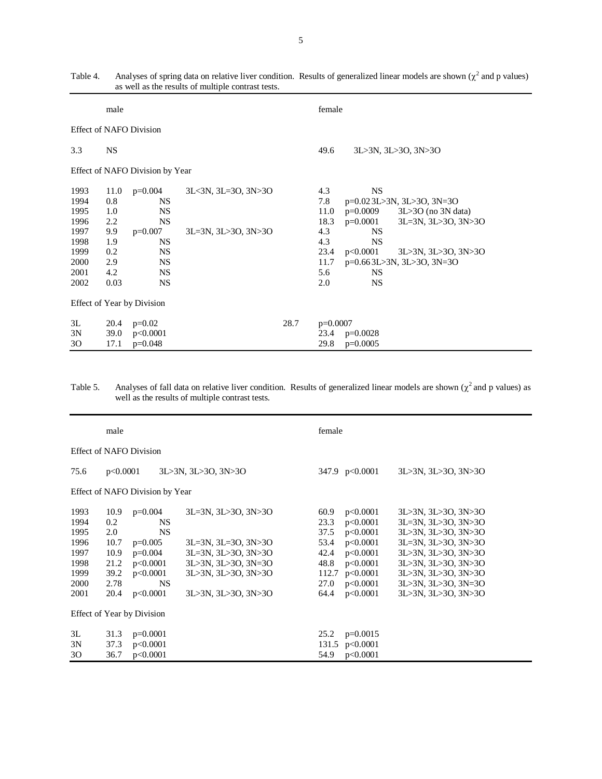|                                                                              | male                                                                 |                                                                                                                                |                                            |                             | female                                                                                                                                                                                                                                                                                                        |  |  |
|------------------------------------------------------------------------------|----------------------------------------------------------------------|--------------------------------------------------------------------------------------------------------------------------------|--------------------------------------------|-----------------------------|---------------------------------------------------------------------------------------------------------------------------------------------------------------------------------------------------------------------------------------------------------------------------------------------------------------|--|--|
| <b>Effect of NAFO Division</b>                                               |                                                                      |                                                                                                                                |                                            |                             |                                                                                                                                                                                                                                                                                                               |  |  |
| 3.3                                                                          | <b>NS</b>                                                            |                                                                                                                                |                                            | 49.6<br>3L>3N, 3L>3O, 3N>3O |                                                                                                                                                                                                                                                                                                               |  |  |
| Effect of NAFO Division by Year                                              |                                                                      |                                                                                                                                |                                            |                             |                                                                                                                                                                                                                                                                                                               |  |  |
| 1993<br>1994<br>1995<br>1996<br>1997<br>1998<br>1999<br>2000<br>2001<br>2002 | 11.0<br>0.8<br>1.0<br>2.2<br>9.9<br>1.9<br>0.2<br>2.9<br>4.2<br>0.03 | $p=0.004$<br><b>NS</b><br><b>NS</b><br><b>NS</b><br>$p=0.007$<br><b>NS</b><br><b>NS</b><br><b>NS</b><br><b>NS</b><br><b>NS</b> | 3L<3N, 3L=3O, 3N>3O<br>3L=3N, 3L>3O, 3N>3O |                             | <b>NS</b><br>4.3<br>7.8<br>p=0.023L>3N, 3L>3O, 3N=3O<br>$p=0.0009$<br>11.0<br>$3L > 30$ (no $3N$ data)<br>$p=0.0001$<br>3L=3N, 3L>3O, 3N>3O<br>18.3<br>4.3<br><b>NS</b><br>4.3<br><b>NS</b><br>23.4<br>p<0.0001<br>3L>3N, 3L>3O, 3N>3O<br>p=0.663L>3N, 3L>3O, 3N=3O<br>11.7<br>5.6<br>NS.<br><b>NS</b><br>2.0 |  |  |
| Effect of Year by Division                                                   |                                                                      |                                                                                                                                |                                            |                             |                                                                                                                                                                                                                                                                                                               |  |  |
| 3L<br>3N<br>30                                                               | 20.4<br>39.0<br>17.1                                                 | $p=0.02$<br>p<0.0001<br>$p=0.048$                                                                                              |                                            | 28.7                        | $p=0.0007$<br>23.4<br>$p=0.0028$<br>29.8<br>$p=0.0005$                                                                                                                                                                                                                                                        |  |  |

Table 4. Analyses of spring data on relative liver condition. Results of generalized linear models are shown  $(\chi^2$  and p values) as well as the results of multiple contrast tests.

Table 5. Analyses of fall data on relative liver condition. Results of generalized linear models are shown ( $\chi^2$  and p values) as well as the results of multiple contrast tests.

|                                                                      | male                                                               |                                                                                                                |                                                                                                                                                        |                                                                       | female                                                                                                   |                                                                                                                                                                                                             |  |  |
|----------------------------------------------------------------------|--------------------------------------------------------------------|----------------------------------------------------------------------------------------------------------------|--------------------------------------------------------------------------------------------------------------------------------------------------------|-----------------------------------------------------------------------|----------------------------------------------------------------------------------------------------------|-------------------------------------------------------------------------------------------------------------------------------------------------------------------------------------------------------------|--|--|
|                                                                      |                                                                    | <b>Effect of NAFO Division</b>                                                                                 |                                                                                                                                                        |                                                                       |                                                                                                          |                                                                                                                                                                                                             |  |  |
| 75.6                                                                 | p<0.0001                                                           |                                                                                                                | 3L>3N, 3L>3O, 3N>3O                                                                                                                                    |                                                                       | 347.9 $p<0.0001$                                                                                         | 3L>3N, 3L>3O, 3N>3O                                                                                                                                                                                         |  |  |
|                                                                      |                                                                    | Effect of NAFO Division by Year                                                                                |                                                                                                                                                        |                                                                       |                                                                                                          |                                                                                                                                                                                                             |  |  |
| 1993<br>1994<br>1995<br>1996<br>1997<br>1998<br>1999<br>2000<br>2001 | 10.9<br>0.2<br>2.0<br>10.7<br>10.9<br>21.2<br>39.2<br>2.78<br>20.4 | $p=0.004$<br><b>NS</b><br><b>NS</b><br>$p=0.005$<br>$p=0.004$<br>p<0.0001<br>p<0.0001<br><b>NS</b><br>p<0.0001 | 3L=3N, 3L>3O, 3N>3O<br>$3L=3N$ , $3L=3O$ , $3N>3O$<br>$3L=3N$ , $3L>3O$ , $3N>3O$<br>3L>3N, 3L>3O, 3N=3O<br>3L>3N, 3L>3O, 3N>3O<br>3L>3N, 3L>3O, 3N>3O | 60.9<br>23.3<br>37.5<br>53.4<br>42.4<br>48.8<br>112.7<br>27.0<br>64.4 | p<0.0001<br>p<0.0001<br>p<0.0001<br>p<0.0001<br>p<0.0001<br>p<0.0001<br>p<0.0001<br>p<0.0001<br>p<0.0001 | 3L>3N, 3L>3O, 3N>3O<br>3L=3N, 3L>3O, 3N>3O<br>3L>3N, 3L>3O, 3N>3O<br>3L=3N, 3L>3O, 3N>3O<br>3L>3N, 3L>3O, 3N>3O<br>3L>3N, 3L>3O, 3N>3O<br>3L>3N, 3L>3O, 3N>3O<br>3L>3N, 3L>3O, 3N=3O<br>3L>3N, 3L>3O, 3N>3O |  |  |
|                                                                      |                                                                    | Effect of Year by Division                                                                                     |                                                                                                                                                        |                                                                       |                                                                                                          |                                                                                                                                                                                                             |  |  |
| 3L<br>3N<br>30                                                       | 31.3<br>37.3<br>36.7                                               | $p=0.0001$<br>p<0.0001<br>p<0.0001                                                                             |                                                                                                                                                        | 25.2<br>131.5<br>54.9                                                 | $p=0.0015$<br>p<0.0001<br>p<0.0001                                                                       |                                                                                                                                                                                                             |  |  |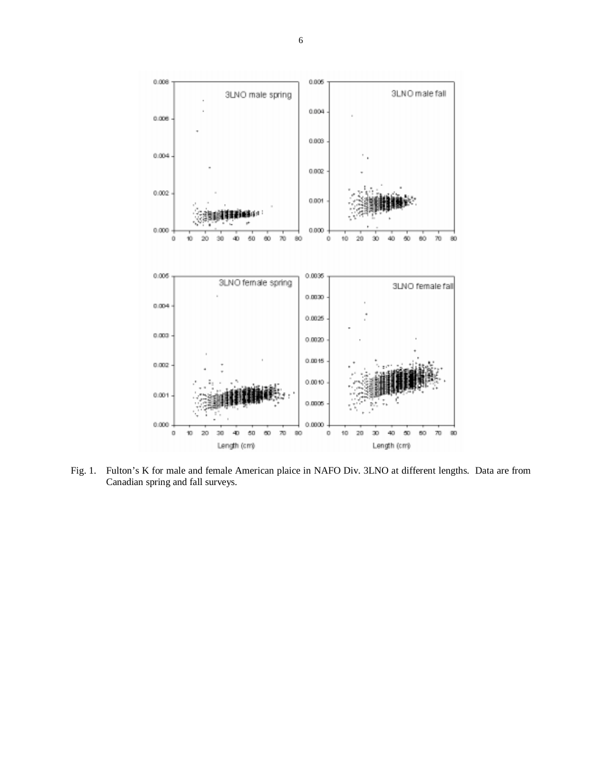

Fig. 1. Fulton's K for male and female American plaice in NAFO Div. 3LNO at different lengths. Data are from Canadian spring and fall surveys.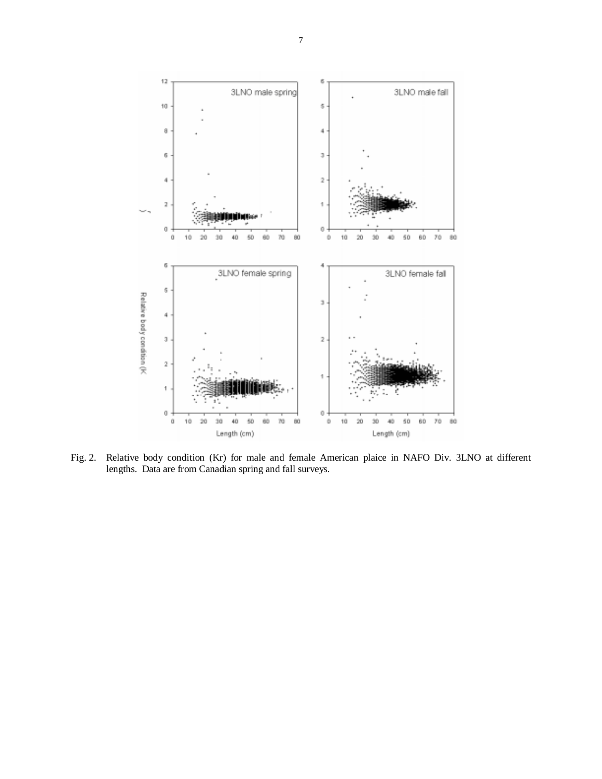

Fig. 2. Relative body condition (Kr) for male and female American plaice in NAFO Div. 3LNO at different lengths. Data are from Canadian spring and fall surveys.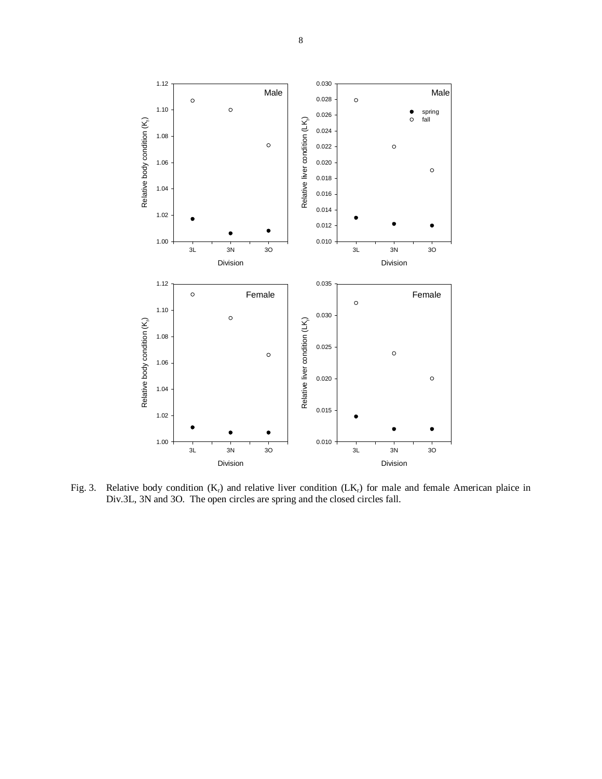

Fig. 3. Relative body condition  $(K_r)$  and relative liver condition  $(LK_r)$  for male and female American plaice in Div.3L, 3N and 3O. The open circles are spring and the closed circles fall.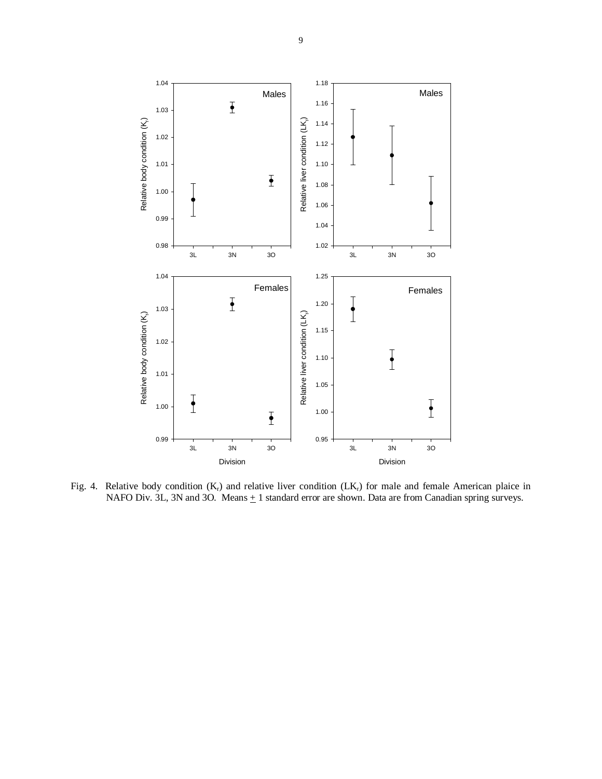

Fig. 4. Relative body condition  $(K_r)$  and relative liver condition  $(LK_r)$  for male and female American plaice in NAFO Div. 3L, 3N and 3O. Means  $\pm$  1 standard error are shown. Data are from Canadian spring surveys.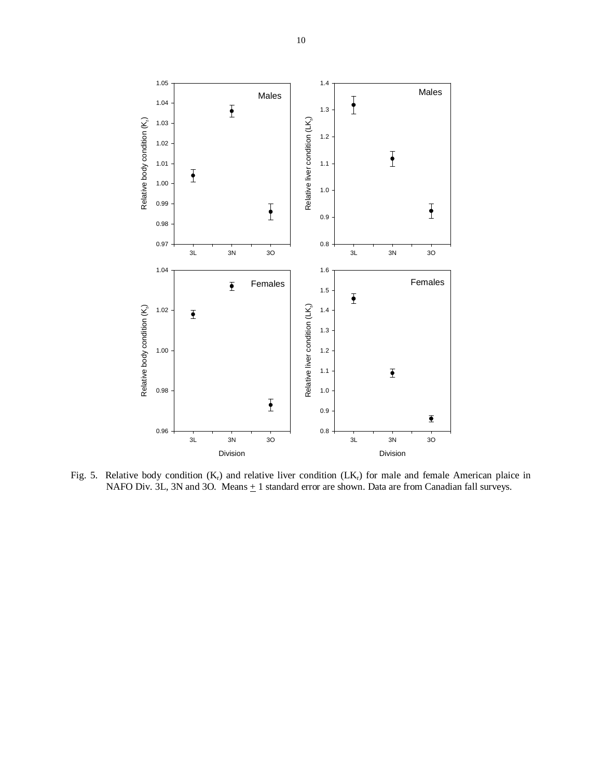

Fig. 5. Relative body condition  $(K_r)$  and relative liver condition  $(LK_r)$  for male and female American plaice in NAFO Div. 3L, 3N and 3O. Means  $\pm$  1 standard error are shown. Data are from Canadian fall surveys.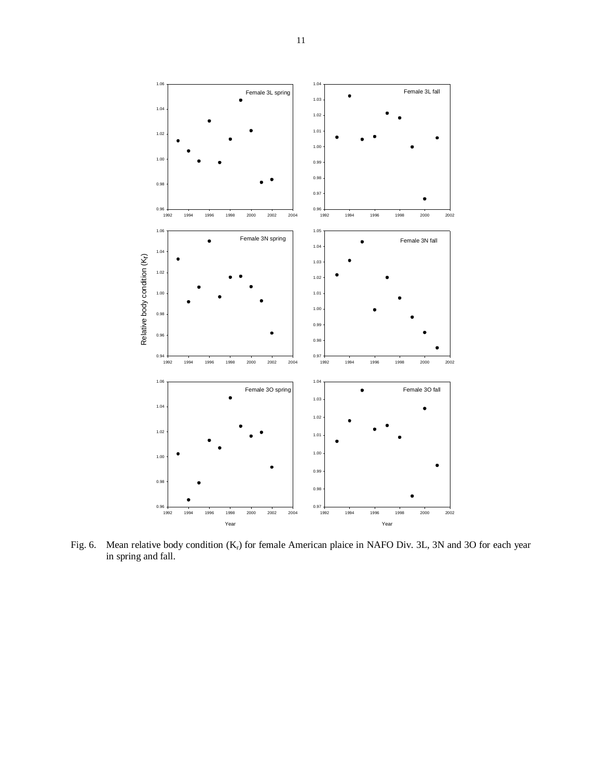

Fig. 6. Mean relative body condition (K<sub>r</sub>) for female American plaice in NAFO Div. 3L, 3N and 3O for each year in spring and fall.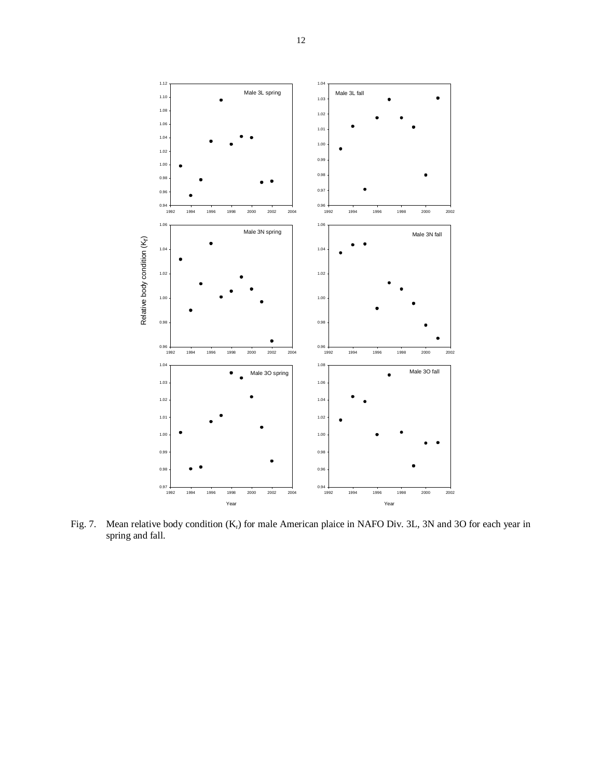

Fig. 7. Mean relative body condition  $(K_r)$  for male American plaice in NAFO Div. 3L, 3N and 3O for each year in spring and fall.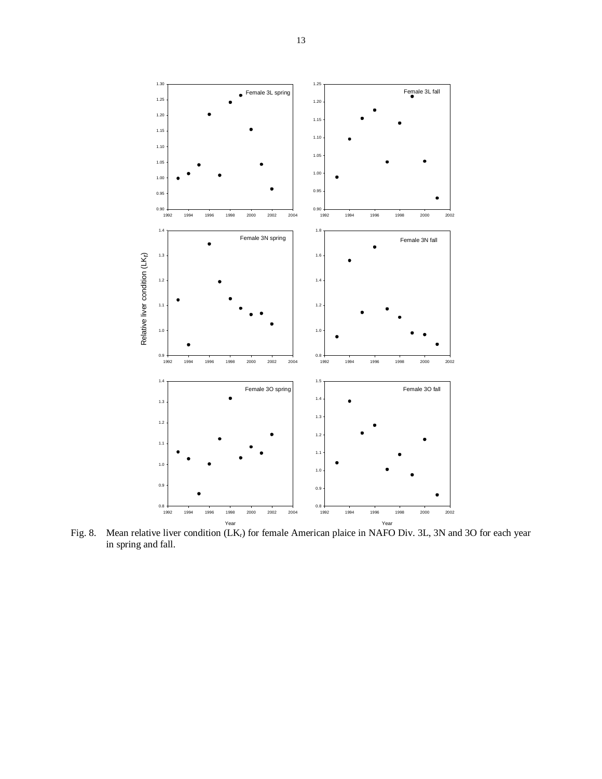

Year Year Fig. 8. Mean relative liver condition (LKr) for female American plaice in NAFO Div. 3L, 3N and 3O for each year in spring and fall.